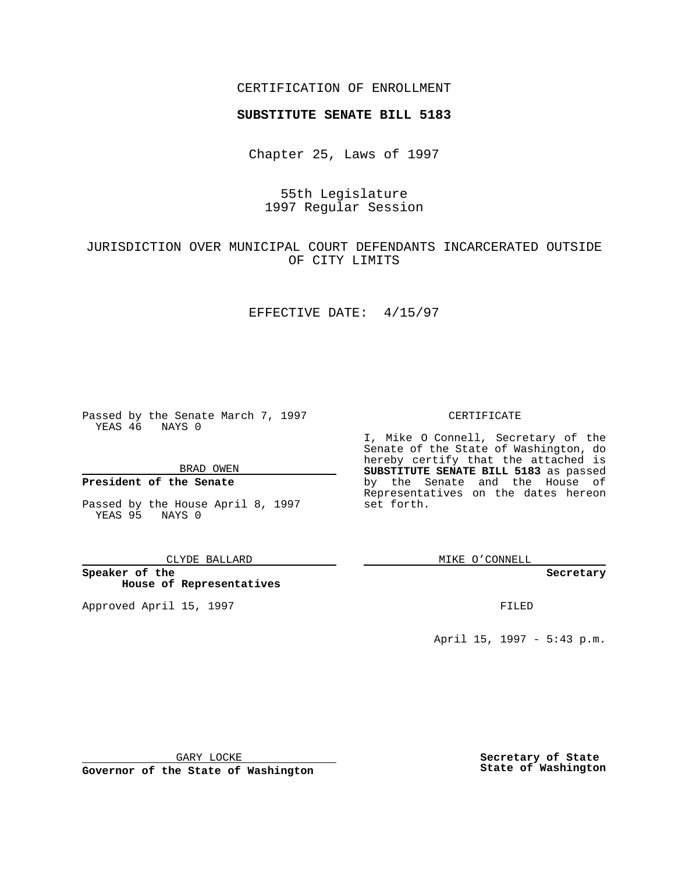### CERTIFICATION OF ENROLLMENT

# **SUBSTITUTE SENATE BILL 5183**

Chapter 25, Laws of 1997

55th Legislature 1997 Regular Session

# JURISDICTION OVER MUNICIPAL COURT DEFENDANTS INCARCERATED OUTSIDE OF CITY LIMITS

### EFFECTIVE DATE: 4/15/97

Passed by the Senate March 7, 1997 YEAS 46 NAYS 0

BRAD OWEN

### **President of the Senate**

Passed by the House April 8, 1997 YEAS 95 NAYS 0

CLYDE BALLARD

**Speaker of the House of Representatives**

Approved April 15, 1997 **FILED** 

#### CERTIFICATE

I, Mike O Connell, Secretary of the Senate of the State of Washington, do hereby certify that the attached is **SUBSTITUTE SENATE BILL 5183** as passed by the Senate and the House of Representatives on the dates hereon set forth.

MIKE O'CONNELL

**Secretary**

April 15, 1997 - 5:43 p.m.

GARY LOCKE

**Governor of the State of Washington**

**Secretary of State State of Washington**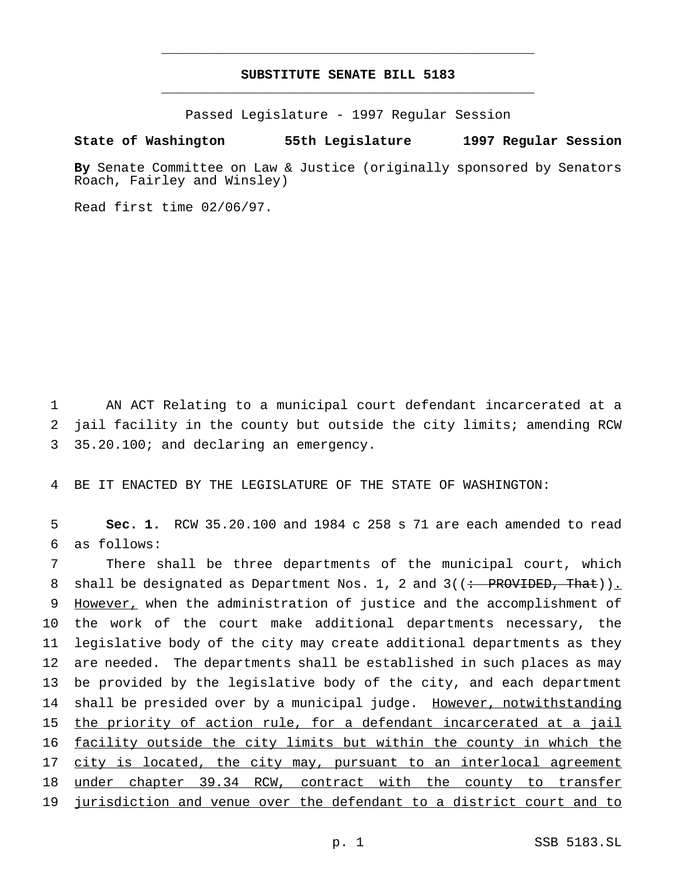### **SUBSTITUTE SENATE BILL 5183** \_\_\_\_\_\_\_\_\_\_\_\_\_\_\_\_\_\_\_\_\_\_\_\_\_\_\_\_\_\_\_\_\_\_\_\_\_\_\_\_\_\_\_\_\_\_\_

\_\_\_\_\_\_\_\_\_\_\_\_\_\_\_\_\_\_\_\_\_\_\_\_\_\_\_\_\_\_\_\_\_\_\_\_\_\_\_\_\_\_\_\_\_\_\_

Passed Legislature - 1997 Regular Session

### **State of Washington 55th Legislature 1997 Regular Session**

**By** Senate Committee on Law & Justice (originally sponsored by Senators Roach, Fairley and Winsley)

Read first time 02/06/97.

1 AN ACT Relating to a municipal court defendant incarcerated at a 2 jail facility in the county but outside the city limits; amending RCW 3 35.20.100; and declaring an emergency.

4 BE IT ENACTED BY THE LEGISLATURE OF THE STATE OF WASHINGTON:

5 **Sec. 1.** RCW 35.20.100 and 1984 c 258 s 71 are each amended to read 6 as follows:

 There shall be three departments of the municipal court, which 8 shall be designated as Department Nos. 1, 2 and  $3((\div)$  PROVIDED, That)). 9 However, when the administration of justice and the accomplishment of the work of the court make additional departments necessary, the legislative body of the city may create additional departments as they are needed. The departments shall be established in such places as may be provided by the legislative body of the city, and each department 14 shall be presided over by a municipal judge. However, notwithstanding 15 the priority of action rule, for a defendant incarcerated at a jail facility outside the city limits but within the county in which the 17 city is located, the city may, pursuant to an interlocal agreement under chapter 39.34 RCW, contract with the county to transfer jurisdiction and venue over the defendant to a district court and to